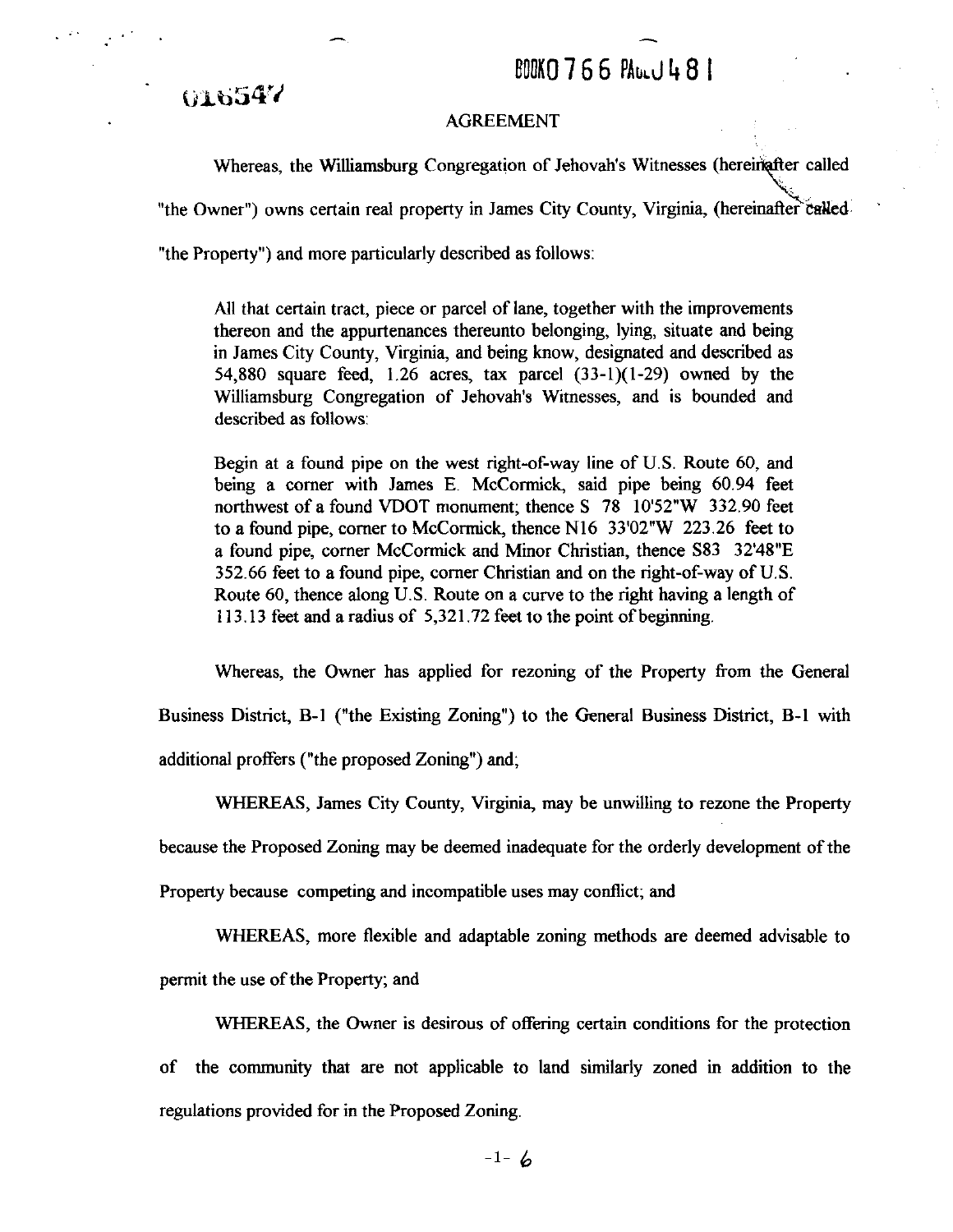## BOOK0766 PALLU481

Whereas, the Williamsburg Congregation of Jehovah's Witnesses (hereinafter called AGREEMENT<br>
Whereas, the Williamsburg Congregation of Jehovah's Witnesses (hereinafter called<br>
"the Owner") owns certain real property in James City County, Virginia, (hereinafter called "the Property") and more particularly described as follows:

All that certain tract, piece or parcel of lane, together with the improvements thereon and the appurtenances thereunto belonging, lying, situate and being in James City County, Virginia, and being know, designated and described as 54,880 square feed, 1.26 acres, tax parcel (33-1)(1-29) owned by the Williamsburg Congregation of Jehovah's Witnesses, and is bounded and described as follows:

Begin at a found pipe on the west right-of-way line of U.S. Route 60, and being a comer with James E. McCormick, said pipe being 60.94 feet northwest of a found VDOT monument; thence S 78 10'52"W 332.90 feet to a found pipe, comer to McCormick, thence N16 33'02"W 223.26 feet to a found pipe, corner McCormick and Minor Christian, thence S83 32'48"E 352.66 feet to a found pipe, comer Christian and on the right-of-way of U.S. Route 60, thence along U.S. Route on a curve to the right having a length of 11 3.13 feet and a radius of 5,321.72 feet to the point of beginning.

Whereas, the Owner has applied for rezoning of the Property from the General

Business District, **B-l** ("the Existing Zoning") to the General Business District, B-1 with additional proffers ("the proposed Zoning") and;

**WHEREAS,** James City County, Virginia, may be unwilling to rezone the Property

because the Proposed Zoning may be deemed inadequate for the orderly development of the

Property because competing and incompatible uses may conflict; and

WHEREAS, more flexible and adaptable zoning methods are deemed advisable to

permit the use of the Property; and

**WHEREAS,** the Owner is desirous of offering certain conditions for the protection of the community that are not applicable to land similarly zoned in addition to the regulations provided for in the Proposed Zoning.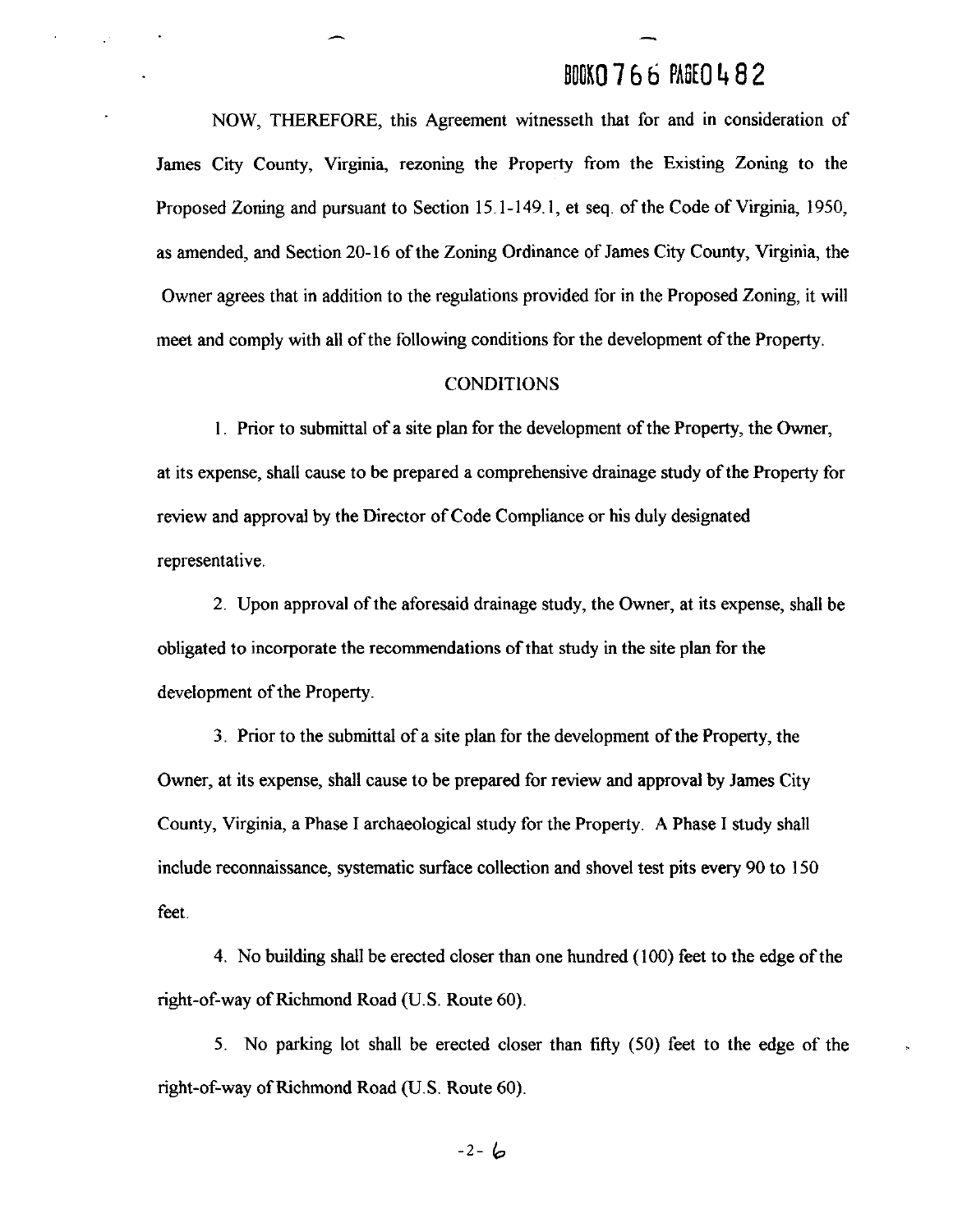## BOOK0 **7 6** b **PA6EO** 4 **8** 2

-

NOW, THEREFORE, this Agreement witnesseth that for and in consideration of James City County, Virginia, rezoning the Property from the Existing Zoning to the Proposed Zoning and pursuant to Section 15.1-149.1, et seq. of the Code of Virginia, 1950, as amended, and Section 20-16 of the Zoning Ordinance of James City County, Virginia, the Owner agrees that in addition to the regulations provided for in the Proposed Zoning, it will meet and comply with all of the following conditions for the development of the Property.

#### **CONDITIONS**

I. Prior to submittal of a site plan for the development of the Property, the Owner, at its expense, shall cause to be prepared a comprehensive drainage study of the Property for review and approval by the Director of Code Compliance or his duly designated representative.

2. Upon approval of the aforesaid drainage study, the Owner, at its expense, shall be obligated to incorporate the recommendations of that study in the site plan for the development of the Property.

3. Prior to the submittal of a site plan for the development of the Property, the Owner, at its expense, shall cause to be prepared for review and approval by James City County, Virginia, a Phase I archaeological study for the Property. **A** Phase I study shall include reconnaissance, systematic surface collection and shovel test pits every 90 to 150 feet.

4. No building shall be erected closer than one hundred (100) feet to the edge of the right-of-way of Richmond Road (U.S. Route 60).

5. No parking lot shall be erected closer than fifty (50) feet to the edge of the right-of-way of Richmond Road (U.S. Route 60).

 $-2 - 6$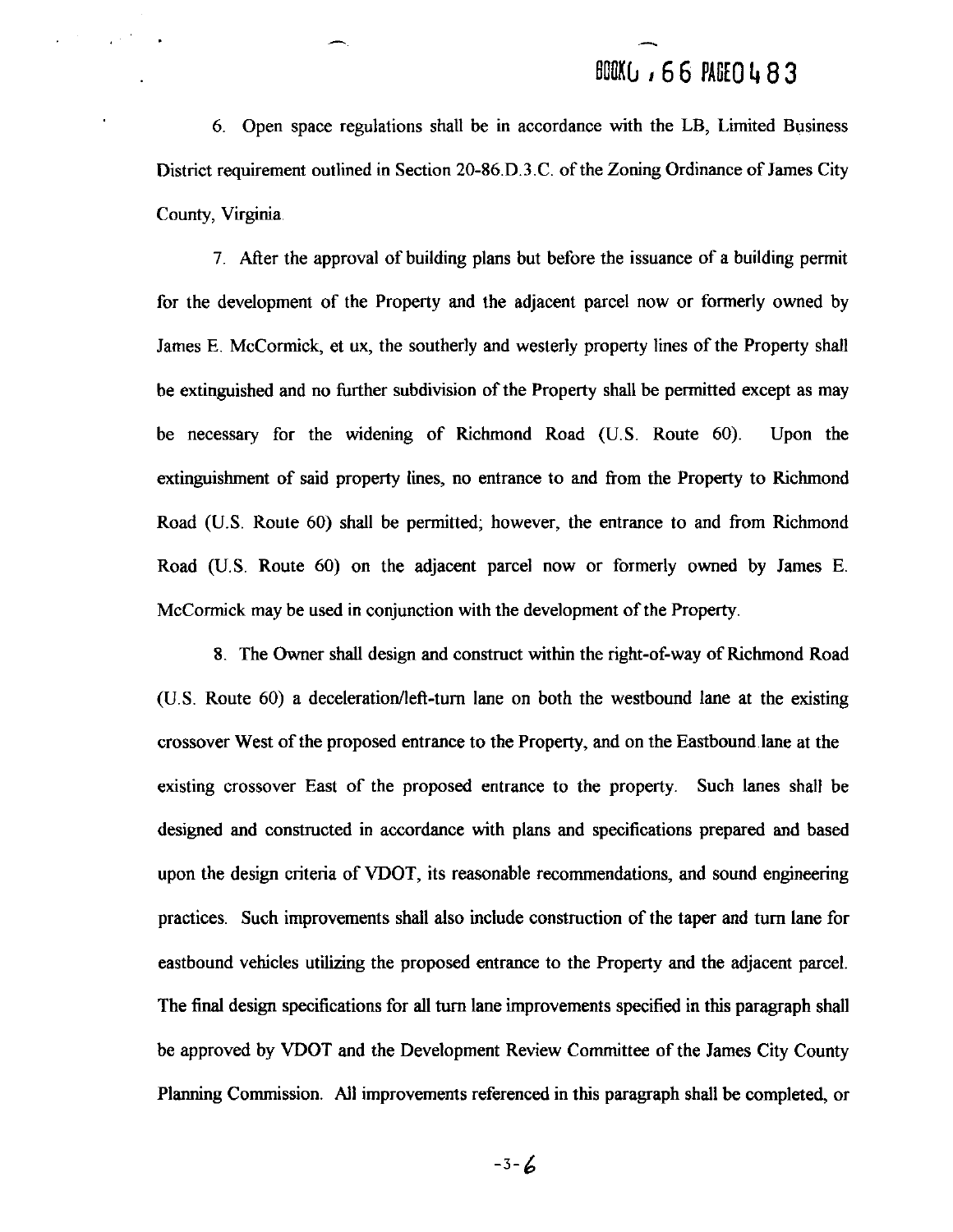## BOOKU , 66 PAGEO 483

6. Open space regulations shall be in accordance with the LB, Limited Business District requirement outlined in Section 20-86.D.3.C. of the Zoning Ordinance of James City County, Virginia

 $\frac{1}{4}$  ,  $\frac{1}{2}$  ,  $\frac{1}{2}$ 

7 After the approval of building plans but before the issuance of a building permit for the development of the Property and the adjacent parcel now or formerly owned by James E. McCormick, et ux, the southerly and westerly property lines of the Property shall be extinguished and no further subdivision of the Property shall be permitted except as may be necessary for the widening of Richmond Road (U.S. Route 60). Upon the extinguishment of said property lines, no entrance to and from the Property to Richmond Road (U.S. Route 60) shall be permitted; however, the entrance to and from Richmond Road (U.S. Route 60) on the adjacent parcel now or formerly owned by James E. McCormick may be used in conjunction with the development of the Property.

**8.** The Owner shall design and construct within the right-of-way of Richmond Road (U.S. Route 60) a deceleration/left-turn lane on both the westbound lane at the existing crossover West of the proposed entrance to the Property, and on the Eastbound lane at the existing crossover East of the proposed entrance to the property. Such lanes shall be designed and constructed in accordance with plans and specifications prepared and based upon the design criteria of VDOT, its reasonable recommendations, and sound engineering practices. Such improvements shall also include construction of the taper and **turn** lane for eastbound vehicles utilizing the proposed entrance to the Property and the adjacent parcel. The final design specifications for all **turn** lane improvements specified in this paragraph shall be approved by VDOT and the Development Review Committee of the James City County Planning Commission. All improvements referenced in this paragraph shall be completed, or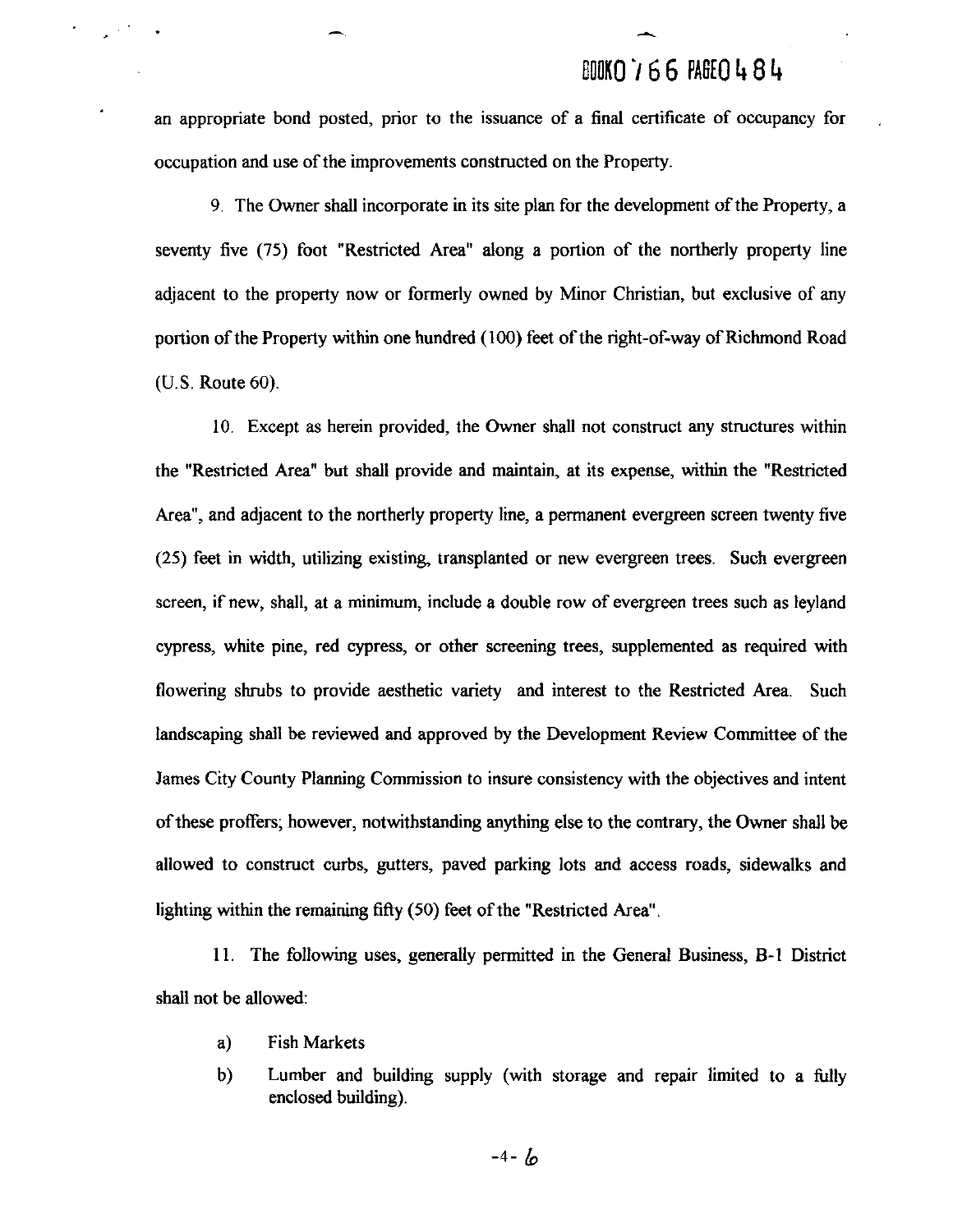## **DOOKO766 PAGE0484**

an appropriate bond posted, prior to the issuance of a final certificate of occupancy for occupation and use of the improvements constructed on the Property.

**9.** The Owner shall incorporate in its site plan for the development of the Property, a seventy five (75) foot "Restricted Area" along a portion of the northerly property line adjacent to the property now or formerly owned by Minor Christian, but exclusive of any portion of the Property within one hundred (100) feet of the right-of-way of Richmond Road (U.S. Route 60).

10. Except as herein provided, the Owner shall not construct any structures within the "Restricted Area" but shall provide and maintain, at its expense, within the "Restricted Area", and adjacent to the northerly property line, a permanent evergreen screen twenty five (25) feet in width, utilizing existing transplanted or new evergreen trees. Such evergreen screen, if new, shall, at a minimum, include a double row of evergreen trees such as leyland cypress, white pine, red cypress, or other screening trees, supplemented as required with flowering shrubs to provide aesthetic variety and interest to the Restricted Area. Such landscaping shall be reviewed and approved by the Development Review Committee of the James City County Planning Commission to insure consistency with the objectives and intent of these proffers; however, notwithstanding anything else to the contrary, the Owner shall be allowed to construct curbs, gutters, paved parking lots and access roads, sidewalks and lighting within the remaining fifty (50) feet of the "Restricted Area".

11. The following uses, generally permitted in the General Business, B-1 District shall not be allowed:

a) Fish Markets

 $\mathcal{L}^{(1)}$  and  $\mathcal{L}^{(2)}$ 

b) Lumber and building supply (with storage and repair limited to a fully enclosed building).

 $-4 - 6$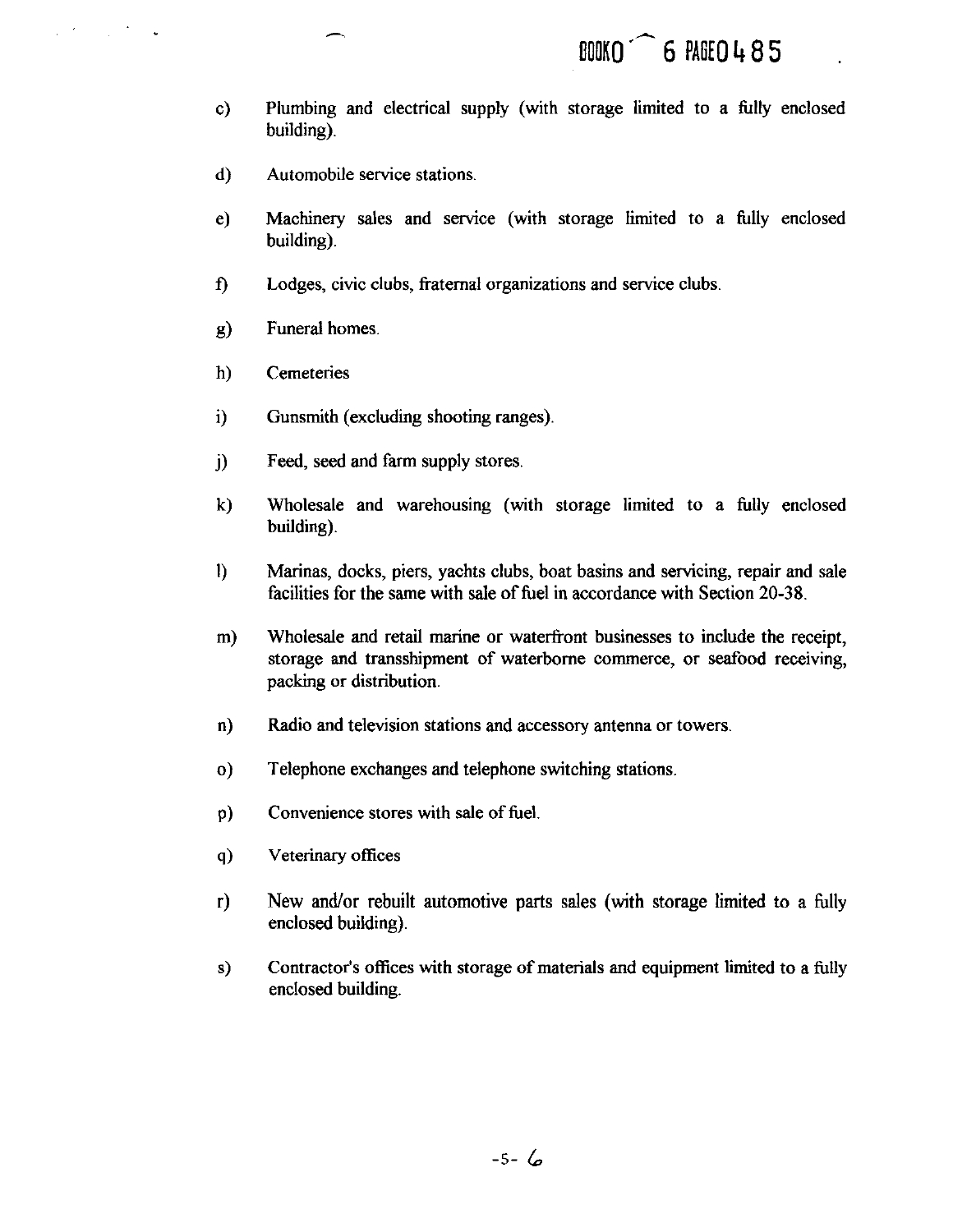- Plumbing and electrical supply (with storage limited to a fully enclosed  $c)$ building).
- Automobile service stations.  $\mathbf{d}$
- $e)$ Machinery sales and service (with storage limited to a fully enclosed building).
- Lodges, civic clubs, fraternal organizations and service clubs.  $\mathbf{f}$
- Funeral homes.  $g)$
- $h)$ **Cemeteries**

 $\mathcal{L}^{\mathcal{A}}$  and  $\mathcal{L}^{\mathcal{A}}$  and  $\mathcal{L}^{\mathcal{A}}$  and  $\mathcal{L}^{\mathcal{A}}$ 

- $i)$ Gunsmith (excluding shooting ranges).
- Feed, seed and farm supply stores.  $\ddot{\mathbf{i}}$
- $\mathbf{k}$ Wholesale and warehousing (with storage limited to a fully enclosed building).
- $\mathbf{I}$ Marinas, docks, piers, yachts clubs, boat basins and servicing, repair and sale facilities for the same with sale of fuel in accordance with Section **20-38.**
- Wholesale and retail marine or waterfront businesses to include the receipt,  $m)$ storage and transshipment of waterborne commerce, or seafood receiving, packing or distribution.
- $\mathbf{n}$ Radio and television stations and accessory antenna or towers
- Telephone exchanges and telephone switching stations.  $\mathbf{o}$
- Convenience stores with sale of fuel  $p$
- $q)$ Veterinary offices
- New and/or rebuilt automotive parts sales (with storage limited to a fully  $r)$ enclosed building).
- $s)$ Contractor's offices with storage of materials and equipment limited to a fully enclosed building.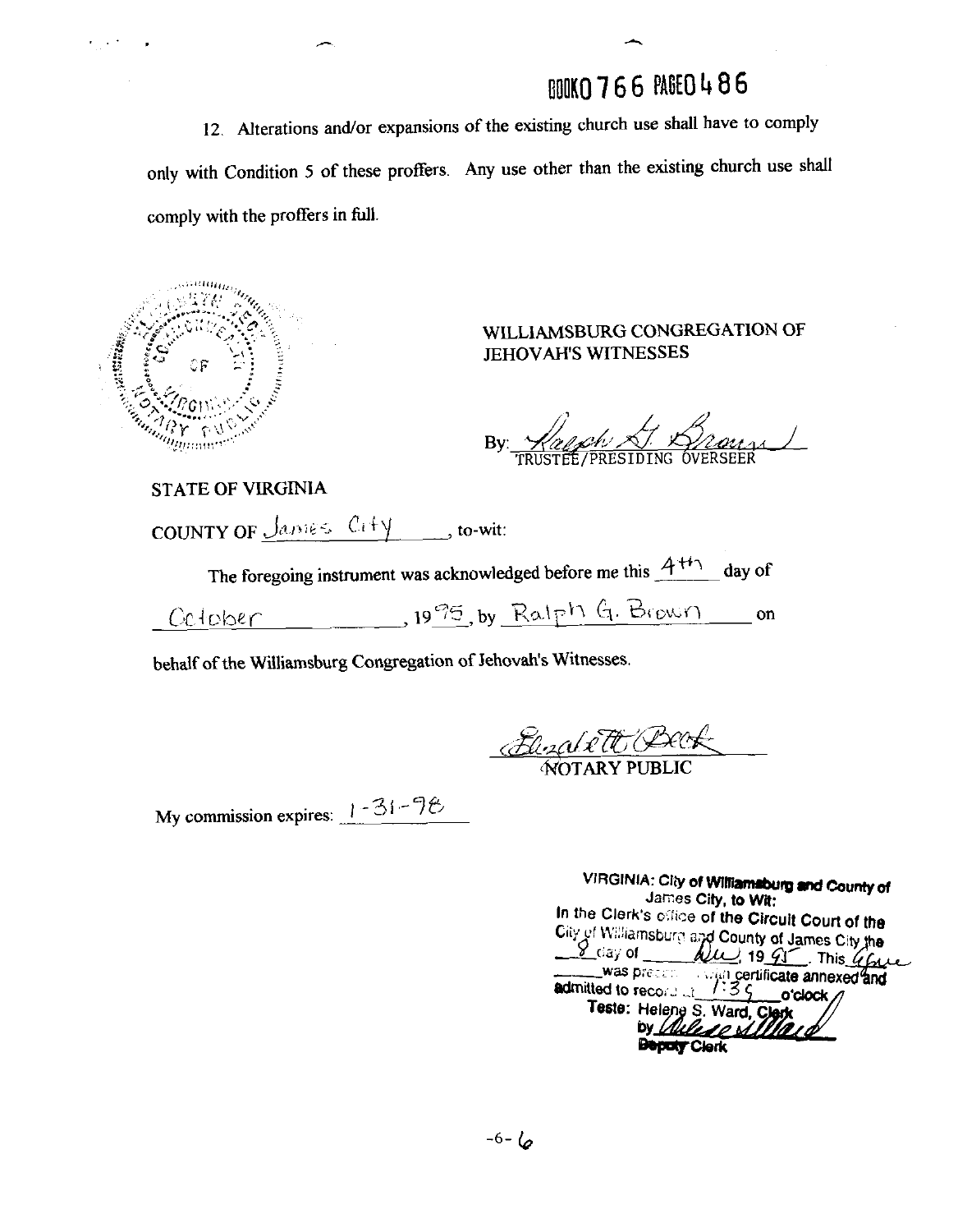# BOOKO 766 PAGEO 486

12. Alterations and/or expansions of the existing church use shall have to comply only with Condition **5** of these proffers. Any use other than the existing church use shall comply with the proffers in full.



 $\sim 10^{10}$ 

### WLLLlAMSBURG CONGREGATlON OF JEHOVAH'S WITNESSES

By Happy X. Brouse

STATE OF VIRGINIA

COUNTY OF  $\frac{\int \text{a} m \epsilon \leq C_1 + y}{\int \text{b} m \epsilon}$ , to-wit:

The foregoing instrument was acknowledged before me this  $A<sup>++</sup>$  day of

 $19\frac{95}{5}$ , by Ralph G. Brown on Celober

behalf of the Williamsburg Congregation of Jehovah's Witnesses.

<u>Eleza e TO Book</u>

My commission expires:  $1 - 31 - 76$ 

| VIRGINIA: Cliy of Williamsburg and County of<br>James City, to Wit:            |
|--------------------------------------------------------------------------------|
| In the Clerk's office of the Circuit Court of the                              |
| City of Williamsburg and County of James City the                              |
|                                                                                |
| was precent with certificate annexed and<br>admitted to record of 1:35 o'clock |
| Teste: Helene S. Ward, Clerk                                                   |
| by Wales o Sillard                                                             |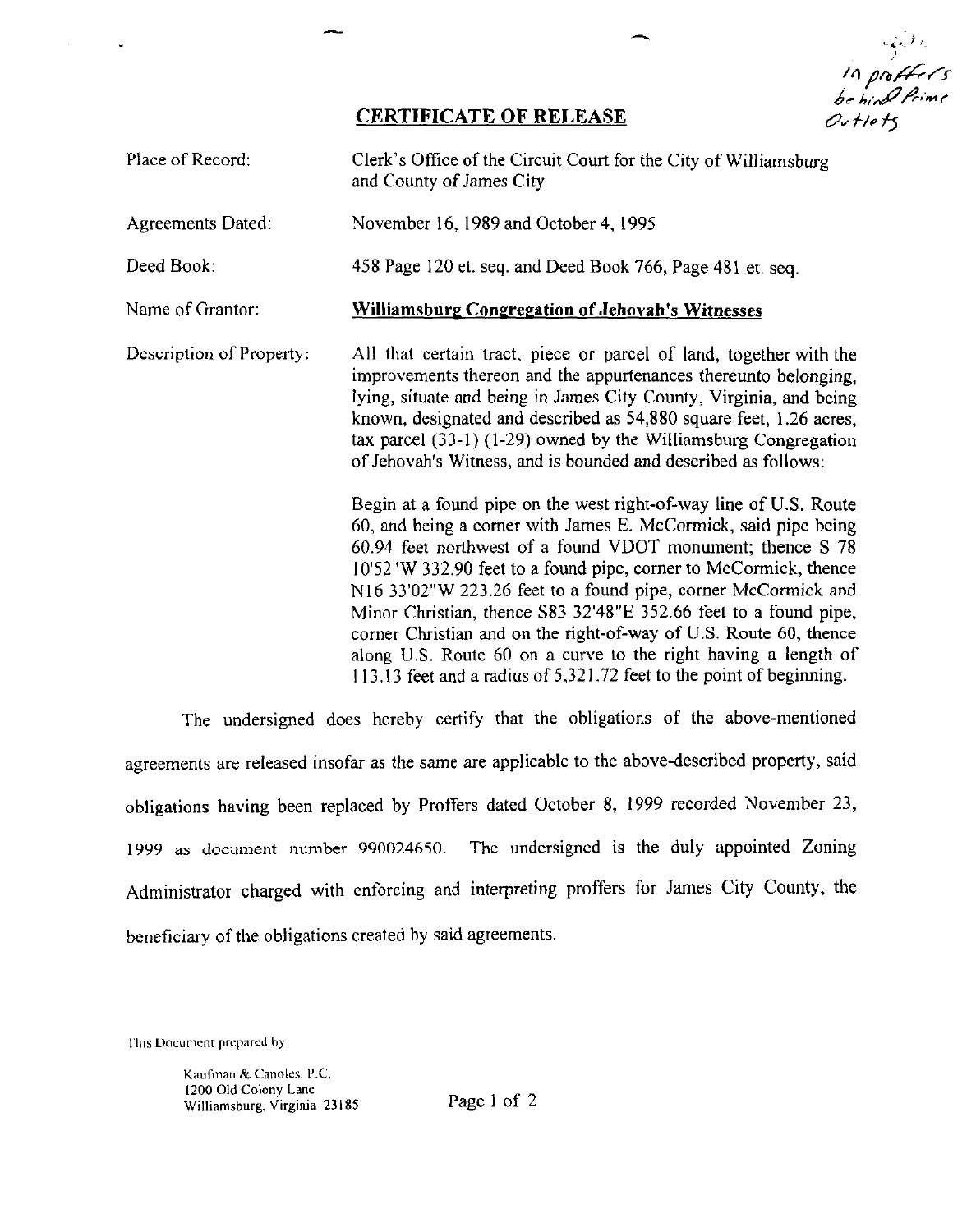in profession<br>In professional<br>be hind Prime Outlets

### **CERTIFICATE OF RELEASE**

-

| Place of Record:         | Clerk's Office of the Circuit Court for the City of Williamsburg<br>and County of James City                                                                                                                                                                                                                                                                                                                                                                                                                                                                                                                               |
|--------------------------|----------------------------------------------------------------------------------------------------------------------------------------------------------------------------------------------------------------------------------------------------------------------------------------------------------------------------------------------------------------------------------------------------------------------------------------------------------------------------------------------------------------------------------------------------------------------------------------------------------------------------|
| Agreements Dated:        | November 16, 1989 and October 4, 1995                                                                                                                                                                                                                                                                                                                                                                                                                                                                                                                                                                                      |
| Deed Book:               | 458 Page 120 et. seq. and Deed Book 766, Page 481 et. seq.                                                                                                                                                                                                                                                                                                                                                                                                                                                                                                                                                                 |
| Name of Grantor:         | <b>Williamsburg Congregation of Jehovah's Witnesses</b>                                                                                                                                                                                                                                                                                                                                                                                                                                                                                                                                                                    |
| Description of Property: | All that certain tract, piece or parcel of land, together with the<br>improvements thereon and the appurtenances thereunto belonging,<br>lying, situate and being in James City County, Virginia, and being<br>known, designated and described as 54,880 square feet, 1.26 acres,<br>tax parcel $(33-1)$ $(1-29)$ owned by the Williamsburg Congregation<br>of Jehovah's Witness, and is bounded and described as follows:                                                                                                                                                                                                 |
|                          | Begin at a found pipe on the west right-of-way line of U.S. Route<br>60, and being a corner with James E. McCormick, said pipe being<br>60.94 feet northwest of a found VDOT monument; thence S 78<br>10'52"W 332.90 feet to a found pipe, corner to McCormick, thence<br>N16 33'02"W 223.26 feet to a found pipe, corner McCormick and<br>Minor Christian, thence S83 32'48"E 352.66 feet to a found pipe,<br>corner Christian and on the right-of-way of U.S. Route 60, thence<br>along U.S. Route 60 on a curve to the right having a length of<br>113.13 feet and a radius of 5,321.72 feet to the point of beginning. |

The undersigned does hereby certify that the obligations of the above-mentioned agreements are released insofar as the same are applicable to the above-described property, said obligations having been replaced by Proffers dated October 8, 1999 recorded November 23, 1999 **as** document number 990024650. The undersigned is the duly appointed Zoning Administrator charged with enforcing and interpreting proffers for James City County, the beneficiary of the obligations created by said agreements.

1111s U~~cumenr **prcparcd** by.

**Kaufinan** & Canoles. P.C. 1200 Old Colony **Lane**  Williamsburg. **Virginia** 23185 Page I of 2